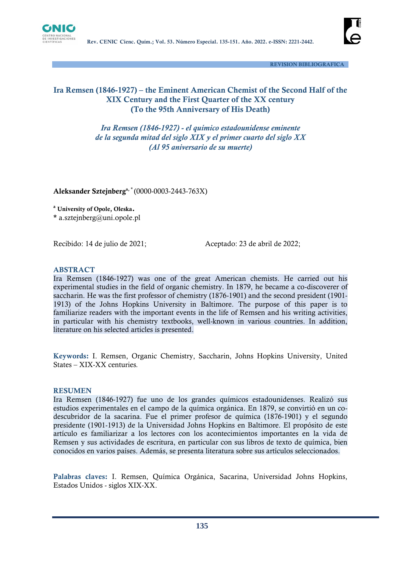



 **REVISION BIBLIOGRAFICA**

### **Ira Remsen (1846-1927) – the Eminent American Chemist of the Second Half of the XIX Century and the First Quarter of the XX century (To the 95th Anniversary of His Death)**

*Ira Remsen (1846-1927) - el químico estadounidense eminente de la segunda mitad del siglo XIX y el primer cuarto del siglo XX (Al 95 aniversario de su muerte)*

**Aleksander Sztejnberga, \*** (0000-0003-2443-763X)

**<sup>a</sup> University of Opole, Oleska.**

**\*** a.sztejnberg@uni.opole.pl

Recibido: 14 de julio de 2021;<br>
Aceptado: 23 de abril de 2022;

#### **ABSTRACT**

Ira Remsen (1846-1927) was one of the great American chemists. He carried out his experimental studies in the field of organic chemistry. In 1879, he became a co-discoverer of saccharin. He was the first professor of chemistry (1876-1901) and the second president (1901- 1913) of the Johns Hopkins University in Baltimore. The purpose of this paper is to familiarize readers with the important events in the life of Remsen and his writing activities, in particular with his chemistry textbooks, well-known in various countries. In addition, literature on his selected articles is presented.

**Keywords:** I. Remsen, Organic Chemistry, Saccharin, Johns Hopkins University, United States – XIX-XX centuries*.*

#### **RESUMEN**

Ira Remsen (1846-1927) fue uno de los grandes químicos estadounidenses. Realizó sus estudios experimentales en el campo de la química orgánica. En 1879, se convirtió en un codescubridor de la sacarina. Fue el primer profesor de química (1876-1901) y el segundo presidente (1901-1913) de la Universidad Johns Hopkins en Baltimore. El propósito de este artículo es familiarizar a los lectores con los acontecimientos importantes en la vida de Remsen y sus actividades de escritura, en particular con sus libros de texto de química, bien conocidos en varios países. Además, se presenta literatura sobre sus artículos seleccionados.

**Palabras claves:** I. Remsen, Química Orgánica, Sacarina, Universidad Johns Hopkins, Estados Unidos - siglos XIX-XX.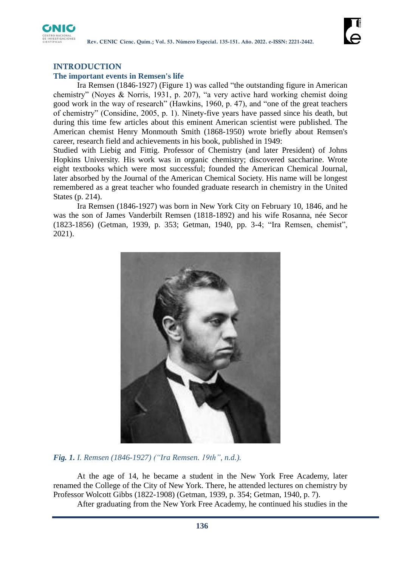

# **INTRODUCTION**

### **The important events in Remsen's life**

Ira Remsen (1846-1927) (Figure 1) was called "the outstanding figure in American chemistry" (Noyes & Norris, 1931, p. 207), "a very active hard working chemist doing good work in the way of research" (Hawkins, 1960, p. 47), and "one of the great teachers of chemistry" (Considine, 2005, p. 1). Ninety-five years have passed since his death, but during this time few articles about this eminent American scientist were published. The American chemist Henry Monmouth Smith (1868-1950) wrote briefly about Remsen's career, research field and achievements in his book, published in 1949:

Studied with Liebig and Fittig. Professor of Chemistry (and later President) of Johns Hopkins University. His work was in organic chemistry; discovered saccharine. Wrote eight textbooks which were most successful; founded the American Chemical Journal, later absorbed by the Journal of the American Chemical Society. His name will be longest remembered as a great teacher who founded graduate research in chemistry in the United States (p. 214).

Ira Remsen (1846-1927) was born in New York City on February 10, 1846, and he was the son of James Vanderbilt Remsen (1818-1892) and his wife Rosanna, née Secor (1823-1856) (Getman, 1939, p. 353; Getman, 1940, pp. 3-4; "Ira Remsen, chemist", 2021).



*Fig. 1. I. Remsen (1846-1927) ("Ira Remsen. 19th", n.d.).*

At the age of 14, he became a student in the New York Free Academy, later renamed the College of the City of New York. There, he attended lectures on chemistry by Professor Wolcott Gibbs (1822-1908) (Getman, 1939, p. 354; Getman, 1940, p. 7).

After graduating from the New York Free Academy, he continued his studies in the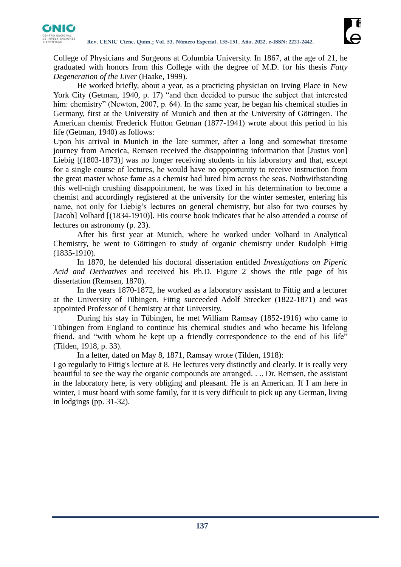

College of Physicians and Surgeons at Columbia University. In 1867, at the age of 21, he graduated with honors from this College with the degree of M.D. for his thesis *Fatty Degeneration of the Liver* (Haake, 1999).

He worked briefly, about a year, as a practicing physician on Irving Place in New York City (Getman, 1940, p. 17) "and then decided to pursue the subject that interested him: chemistry" (Newton, 2007, p. 64). In the same year, he began his chemical studies in Germany, first at the University of Munich and then at the University of Göttingen. The American chemist Frederick Hutton Getman (1877-1941) wrote about this period in his life (Getman, 1940) as follows:

Upon his arrival in Munich in the late summer, after a long and somewhat tiresome journey from America, Remsen received the disappointing information that [Justus von] Liebig [(1803-1873)] was no longer receiving students in his laboratory and that, except for a single course of lectures, he would have no opportunity to receive instruction from the great master whose fame as a chemist had lured him across the seas. Nothwithstanding this well-nigh crushing disappointment, he was fixed in his determination to become a chemist and accordingly registered at the university for the winter semester, entering his name, not only for Liebig's lectures on general chemistry, but also for two courses by [Jacob] Volhard [(1834-1910)]. His course book indicates that he also attended a course of lectures on astronomy (p. 23).

After his first year at Munich, where he worked under Volhard in Analytical Chemistry, he went to Göttingen to study of organic chemistry under Rudolph Fittig (1835-1910).

In 1870, he defended his doctoral dissertation entitled *Investigations on Piperic Acid and Derivatives* and received his Ph.D. Figure 2 shows the title page of his dissertation (Remsen, 1870).

In the years 1870-1872, he worked as a laboratory assistant to Fittig and a lecturer at the University of Tübingen. Fittig succeeded Adolf Strecker (1822-1871) and was appointed Professor of Chemistry at that University.

During his stay in Tübingen, he met William Ramsay (1852-1916) who came to Tübingen from England to continue his chemical studies and who became his lifelong friend, and "with whom he kept up a friendly correspondence to the end of his life" (Tilden, 1918, p. 33).

In a letter, dated on May 8, 1871, Ramsay wrote (Tilden, 1918):

I go regularly to Fittig's lecture at 8. He lectures very distinctly and clearly. It is really very beautiful to see the way the organic compounds are arranged. . .. Dr. Remsen, the assistant in the laboratory here, is very obliging and pleasant. He is an American. If I am here in winter, I must board with some family, for it is very difficult to pick up any German, living in lodgings (pp. 31-32).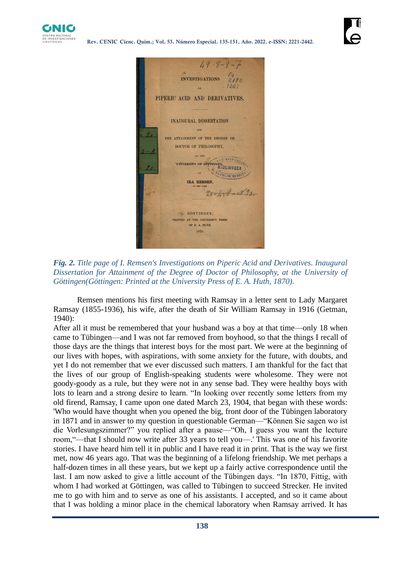



*Fig. 2. Title page of I. Remsen's Investigations on Piperic Acid and Derivatives. Inaugural Dissertation for Attainment of the Degree of Doctor of Philosophy, at the University of Göttingen(Göttingen: Printed at the University Press of E. A. Huth, 1870)*.

Remsen mentions his first meeting with Ramsay in a letter sent to Lady Margaret Ramsay (1855-1936), his wife, after the death of Sir William Ramsay in 1916 (Getman, 1940):

After all it must be remembered that your husband was a boy at that time—only 18 when came to Tübingen—and I was not far removed from boyhood, so that the things I recall of those days are the things that interest boys for the most part. We were at the beginning of our lives with hopes, with aspirations, with some anxiety for the future, with doubts, and yet I do not remember that we ever discussed such matters. I am thankful for the fact that the lives of our group of English-speaking students were wholesome. They were not goody-goody as a rule, but they were not in any sense bad. They were healthy boys with lots to learn and a strong desire to learn. "In looking over recently some letters from my old firend, Ramsay, I came upon one dated March 23, 1904, that began with these words: 'Who would have thought when you opened the big, front door of the Tübingen laboratory in 1871 and in answer to my question in questionable German—"Können Sie sagen wo ist die Vorlesungszimmer?" you replied after a pause—"Oh, I guess you want the lecture room,"—that I should now write after 33 years to tell you—.' This was one of his favorite stories. I have heard him tell it in public and I have read it in print. That is the way we first met, now 46 years ago. That was the beginning of a lifelong friendship. We met perhaps a half-dozen times in all these years, but we kept up a fairly active correspondence until the last. I am now asked to give a little account of the Tübingen days. "In 1870, Fittig, with whom I had worked at Göttingen, was called to Tübingen to succeed Strecker. He invited me to go with him and to serve as one of his assistants. I accepted, and so it came about that I was holding a minor place in the chemical laboratory when Ramsay arrived. It has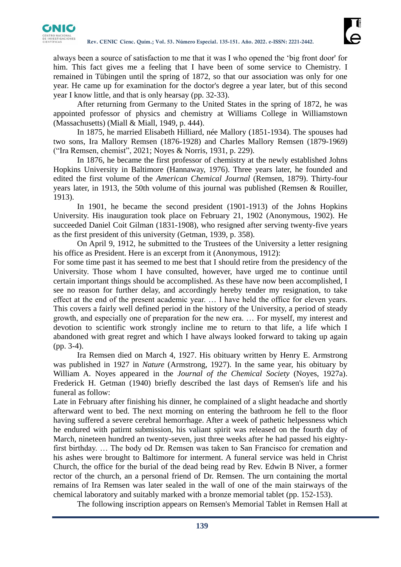

always been a source of satisfaction to me that it was I who opened the 'big front door' for him. This fact gives me a feeling that I have been of some service to Chemistry. I remained in Tübingen until the spring of 1872, so that our association was only for one year. He came up for examination for the doctor's degree a year later, but of this second year I know little, and that is only hearsay (pp. 32-33).

After returning from Germany to the United States in the spring of 1872, he was appointed professor of physics and chemistry at Williams College in Williamstown (Massachusetts) (Miall & Miall, 1949, p. 444).

In 1875, he married Elisabeth Hilliard, née Mallory (1851-1934). The spouses had two sons, Ira Mallory Remsen (1876-1928) and Charles Mallory Remsen (1879-1969) ("Ira Remsen, chemist", 2021; Noyes & Norris, 1931, p. 229).

In 1876, he became the first professor of chemistry at the newly established Johns Hopkins University in Baltimore (Hannaway, 1976). Three years later, he founded and edited the first volume of the *American Chemical Journal* (Remsen, 1879). Thirty-four years later, in 1913, the 50th volume of this journal was published (Remsen & Rouiller, 1913).

In 1901, he became the second president (1901-1913) of the Johns Hopkins University. His inauguration took place on February 21, 1902 (Anonymous, 1902). He succeeded Daniel Coit Gilman (1831-1908), who resigned after serving twenty-five years as the first president of this university (Getman, 1939, p. 358).

On April 9, 1912, he submitted to the Trustees of the University a letter resigning his office as President. Here is an excerpt from it (Anonymous, 1912):

For some time past it has seemed to me best that I should retire from the presidency of the University. Those whom I have consulted, however, have urged me to continue until certain important things should be accomplished. As these have now been accomplished, I see no reason for further delay, and accordingly hereby tender my resignation, to take effect at the end of the present academic year. … I have held the office for eleven years. This covers a fairly well defined period in the history of the University, a period of steady growth, and especially one of preparation for the new era. … For myself, my interest and devotion to scientific work strongly incline me to return to that life, a life which I abandoned with great regret and which I have always looked forward to taking up again (pp. 3-4).

Ira Remsen died on March 4, 1927. His obituary written by Henry E. Armstrong was published in 1927 in *Nature* (Armstrong, 1927). In the same year, his obituary by William A. Noyes appeared in the *Journal of the Chemical Society* (Noyes, 1927a). Frederick H. Getman (1940) briefly described the last days of Remsen's life and his funeral as follow:

Late in February after finishing his dinner, he complained of a slight headache and shortly afterward went to bed. The next morning on entering the bathroom he fell to the floor having suffered a severe cerebral hemorrhage. After a week of pathetic helpessness which he endured with patirnt submission, his valiant spirit was released on the fourth day of March, nineteen hundred an twenty-seven, just three weeks after he had passed his eightyfirst birthday. … The body od Dr. Remsen was taken to San Francisco for cremation and his ashes were brought to Baltimore for interment. A funeral service was held in Christ Church, the office for the burial of the dead being read by Rev. Edwin B Niver, a former rector of the church, an a personal friend of Dr. Remsen. The urn containing the mortal remains of Ira Remsen was later sealed in the wall of one of the main stairways of the chemical laboratory and suitably marked with a bronze memorial tablet (pp. 152-153).

The following inscription appears on Remsen's Memorial Tablet in Remsen Hall at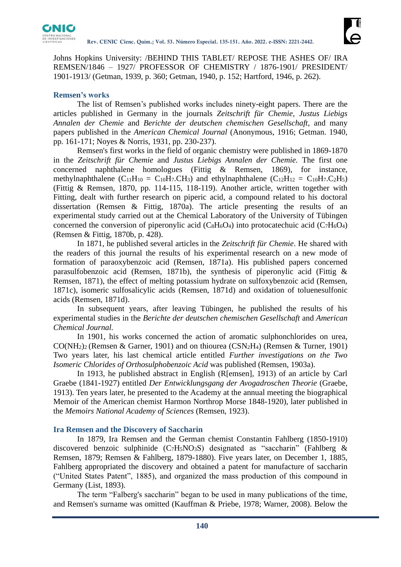

Johns Hopkins University: /BEHIND THIS TABLET/ REPOSE THE ASHES OF/ IRA REMSEN/1846 – 1927/ PROFESSOR OF CHEMISTRY / 1876-1901/ PRESIDENT/ 1901-1913/ (Getman, 1939, p. 360; Getman, 1940, p. 152; Hartford, 1946, p. 262).

### **Remsen's works**

The list of Remsen's published works includes ninety-eight papers. There are the articles published in Germany in the journals *Zeitschrift für Chemie, Justus Liebigs Annalen der Chemie* and *Berichte der deutschen chemischen Gesellschaft*, and many papers published in the *American Chemical Journal* (Anonymous, 1916; Getman. 1940, pp. 161-171; Noyes & Norris, 1931, pp. 230-237).

Remsen's first works in the field of organic chemistry were published in 1869-1870 in the *Zeitschrift für Chemie* and *Justus Liebigs Annalen der Chemie.* The first one concerned naphthalene homologues (Fittig & Remsen, 1869), for instance, methylnaphthalene  $(C_{11}H_{10} = C_{10}H_7.CH_3)$  and ethylnaphthalene  $(C_{12}H_{12} = C_{10}H_7.C_2H_5)$ (Fittig & Remsen, 1870, pp. 114-115, 118-119). Another article, written together with Fitting, dealt with further research on piperic acid, a compound related to his doctoral dissertation (Remsen & Fittig, 1870a). The article presenting the results of an experimental study carried out at the Chemical Laboratory of the University of Tübingen concerned the conversion of piperonylic acid  $(C_8H_6O_4)$  into protocatechuic acid  $(C_7H_6O_4)$ (Remsen & Fittig, 1870b, p. 428).

In 1871, he published several articles in the *Zeitschrift für Chemie*. He shared with the readers of this journal the results of his experimental research on a new mode of formation of paraoxybenzoic acid (Remsen, 1871a). His published papers concerned parasulfobenzoic acid (Remsen, 1871b), the synthesis of piperonylic acid (Fittig & Remsen, 1871), the effect of melting potassium hydrate on sulfoxybenzoic acid (Remsen, 1871c), isomeric sulfosalicylic acids (Remsen, 1871d) and oxidation of toluenesulfonic acids (Remsen, 1871d).

In subsequent years, after leaving Tübingen, he published the results of his experimental studies in the *Berichte der deutschen chemischen Gesellschaft* and *American Chemical Journal.*

In 1901, his works concerned the action of aromatic sulphonchlorides on urea, CO(NH2)2 (Remsen & Garner, 1901) and on thiourea (CSN2H4) (Remsen & Turner, 1901) Two years later, his last chemical article entitled *Further investigations on the Two Isomeric Chlorides of Orthosulphobenzoic Acid* was published (Remsen, 1903a).

In 1913, he published abstract in English (R[emsen], 1913) of an article by Carl Graebe (1841-1927) entitled *Der Entwicklungsgang der Avogadroschen Theorie* (Graebe, 1913). Ten years later, he presented to the Academy at the annual meeting the biographical Memoir of the American chemist Harmon Northrop Morse 1848-1920), later published in the *Memoirs National Academy of Sciences* (Remsen, 1923).

### **Ira Remsen and the Discovery of Saccharin**

In 1879, Ira Remsen and the German chemist Constantin Fahlberg (1850-1910) discovered benzoic sulphinide  $(C_7H_5NO_3S)$  designated as "saccharin" (Fahlberg & Remsen, 1879; Remsen & Fahlberg, 1879-1880). Five years later, on December 1, 1885, Fahlberg appropriated the discovery and obtained a patent for manufacture of saccharin ("United States Patent", 1885), and organized the mass production of this compound in Germany (List, 1893).

The term "Falberg's saccharin" began to be used in many publications of the time, and Remsen's surname was omitted (Kauffman & Priebe, 1978; Warner, 2008). Below the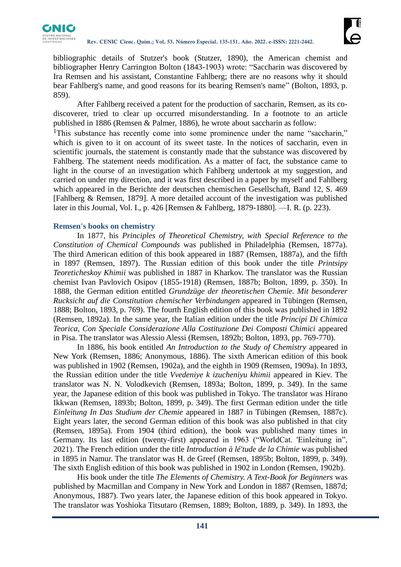

bibliographic details of Stutzer's book (Stutzer, 1890), the American chemist and bibliographer Henry Carrington Bolton (1843-1903) wrote: "Saccharin was discovered by Ira Remsen and his assistant, Constantine Fahlberg; there are no reasons why it should bear Fahlberg's name, and good reasons for its bearing Remsen's name" (Bolton, 1893, p. 859).

After Fahlberg received a patent for the production of saccharin, Remsen, as its codiscoverer, tried to clear up occurred misunderstanding. In a footnote to an article published in 1886 (Remsen & Palmer, 1886), he wrote about saccharin as follow:

<sup>1</sup>This substance has recently come into some prominence under the name "saccharin," which is given to it on account of its sweet taste. In the notices of saccharin, even in scientific journals, the statement is constantly made that the substance was discovered by Fahlberg. The statement needs modification. As a matter of fact, the substance came to light in the course of an investigation which Fahlberg undertook at my suggestion, and carried on under my direction, and it was first described in a paper by myself and Fahlberg which appeared in the Berichte der deutschen chemischen Gesellschaft, Band 12, S. 469 [Fahlberg & Remsen, 1879]. A more detailed account of the investigation was published later in this Journal, Vol. I., p. 426 [Remsen & Fahlberg, 1879-1880]. —I. R. (p. 223).

### **Remsen's books on chemistry**

In 1877, his *Principles of Theoretical Chemistry, with Special Reference to the Constitution of Chemical Compounds* was published in Philadelphia (Remsen, 1877a). The third American edition of this book appeared in 1887 (Remsen, 1887a), and the fifth in 1897 (Remsen, 1897). The Russian edition of this book under the title *Printsipy Teoreticheskoy Khimii* was published in 1887 in Kharkov. The translator was the Russian chemist Ivan Pavlovich Osipov (1855-1918) (Remsen, 1887b; Bolton, 1899, p. 350). In 1888, the German edition entitled *Grundzüge der theoretischen Chemie. Mit besonderer Rucksicht auf die Constitution chemischer Verbindungen* appeared in Tübingen (Remsen, 1888; Bolton, 1893, p. 769). The fourth English edition of this book was published in 1892 (Remsen, 1892a). In the same year, the Italian edition under the title *Principi Di Chimica Teorica, Con Speciale Considerazione Alla Costituzione Dei Composti Chimici* appeared in Pisa. The translator was Alessio Alessi (Remsen, 1892b; Bolton, 1893, pp. 769-770).

In 1886, his book entitled *An Introduction to the Study of Chemistry* appeared in New York (Remsen, 1886; Anonymous, 1886). The sixth American edition of this book was published in 1902 (Remsen, 1902a), and the eighth in 1909 (Remsen, 1909a). In 1893, the Russian edition under the title *Vvedeniye k izucheniyu khimii* appeared in Kiev. The translator was N. N. Volodkevich (Remsen, 1893a; Bolton, 1899, p. 349). In the same year, the Japanese edition of this book was published in Tokyo. The translator was Hirano Ikkwan (Remsen, 1893b; Bolton, 1899, p. 349). The first German edition under the title *Einleitung In Das Studium der Chemie* appeared in 1887 in Tübingen (Remsen, 1887c). Eight years later, the second German edition of this book was also published in that city (Remsen, 1895a). From 1904 (third edition), the book was published many times in Germany. Its last edition (twenty-first) appeared in 1963 ("WorldCat. 'Einleitung in", 2021). The French edition under the title *Introduction à lé'tude de la Chimie* was published in 1895 in Namur. The translator was H. de Greef (Remsen, 1895b; Bolton, 1899, p. 349). The sixth English edition of this book was published in 1902 in London (Remsen, 1902b).

His book under the title *The Elements of Chemistry. A Text-Book for Beginners* was published by Macmillan and Company in New York and London in 1887 (Remsen, 1887d; Anonymous, 1887). Two years later, the Japanese edition of this book appeared in Tokyo. The translator was Yoshioka Titsutaro (Remsen, 1889; Bolton, 1889, p. 349). In 1893, the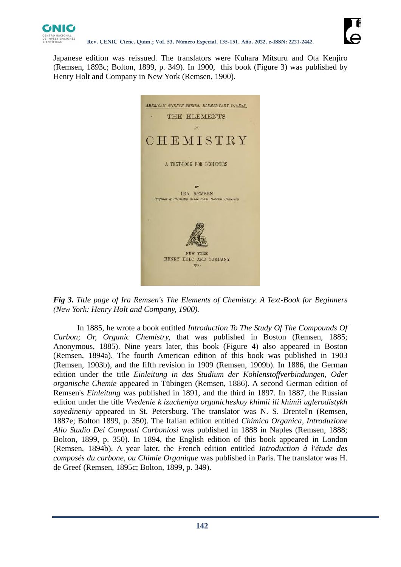

Japanese edition was reissued. The translators were Kuhara Mitsuru and Ota Kenjiro (Remsen, 1893c; Bolton, 1899, p. 349). In 1900, this book (Figure 3) was published by Henry Holt and Company in New York (Remsen, 1900).



*Fig 3. Title page of Ira Remsen's The Elements of Chemistry. A Text-Book for Beginners (New York: Henry Holt and Company, 1900).*

In 1885, he wrote a book entitled *Introduction To The Study Of The Compounds Of Carbon; Or, Organic Chemistry,* that was published in Boston (Remsen, 1885; Anonymous, 1885). Nine years later, this book (Figure 4) also appeared in Boston (Remsen, 1894a). The fourth American edition of this book was published in 1903 (Remsen, 1903b), and the fifth revision in 1909 (Remsen, 1909b). In 1886, the German edition under the title *Einleitung in das Studium der Kohlenstoffverbindungen, Oder organische Chemie* appeared in Tübingen (Remsen, 1886). A second German edition of Remsen's *Einleitung* was published in 1891, and the third in 1897. In 1887, the Russian edition under the title *Vvedenie k izucheniyu organicheskoy khimii ili khimii uglerodistykh soyedineniy* appeared in St. Petersburg. The translator was N. S. Drentel'n (Remsen, 1887e; Bolton 1899, p. 350). The Italian edition entitled *Chimica Organica, Introduzione Alio Studio Dei Composti Carboniosi* was published in 1888 in Naples (Remsen, 1888; Bolton, 1899, p. 350). In 1894, the English edition of this book appeared in London (Remsen, 1894b). A year later, the French edition entitled *Introduction à l'étude des composés du carbone, ou Chimie Organique* was published in Paris. The translator was H. de Greef (Remsen, 1895c; Bolton, 1899, p. 349).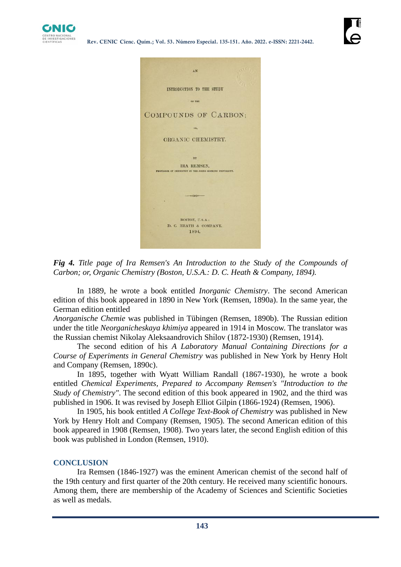



*Fig 4. Title page of Ira Remsen's An Introduction to the Study of the Compounds of Carbon; or, Organic Chemistry (Boston, U.S.A.: D. C. Heath & Company, 1894).*

In 1889, he wrote a book entitled *Inorganic Chemistry*. The second American edition of this book appeared in 1890 in New York (Remsen, 1890a). In the same year, the German edition entitled

*Anorganische Chemie* was published in Tübingen (Remsen, 1890b). The Russian edition under the title *Neorganicheskaya khimiya* appeared in 1914 in Moscow. The translator was the Russian chemist Nikolay Aleksaandrovich Shí lov (1872-1930) (Remsen, 1914).

The second edition of his *A Laboratory Manual Containing Directions for a Course of Experiments in General Chemistry* was published in New York by Henry Holt and Company (Remsen, 1890c).

In 1895, together with Wyatt William Randall (1867-1930), he wrote a book entitled *Chemical Experiments, Prepared to Accompany Remsen's "Introduction to the Study of Chemistry"*. The second edition of this book appeared in 1902, and the third was published in 1906. It was revised by Joseph Elliot Gilpin (1866-1924) (Remsen, 1906).

In 1905, his book entitled *A College Text-Book of Chemistry* was published in New York by Henry Holt and Company (Remsen, 1905). The second American edition of this book appeared in 1908 (Remsen, 1908). Two years later, the second English edition of this book was published in London (Remsen, 1910).

### **CONCLUSION**

Ira Remsen (1846-1927) was the eminent American chemist of the second half of the 19th century and first quarter of the 20th century. He received many scientific honours. Among them, there are membership of the Academy of Sciences and Scientific Societies as well as medals.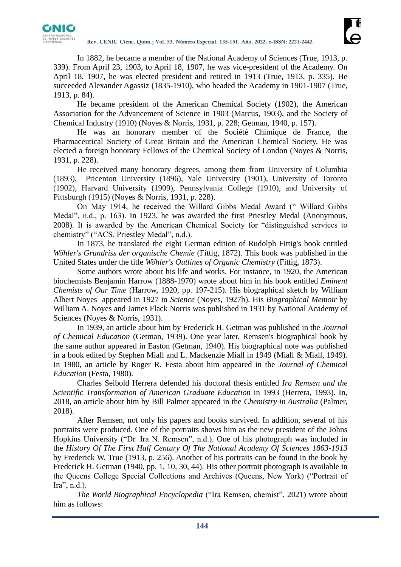

In 1882, he became a member of the National Academy of Sciences (True, 1913, p. 339). From April 23, 1903, to April 18, 1907, he was vice-president of the Academy. On April 18, 1907, he was elected president and retired in 1913 (True, 1913, p. 335). He succeeded Alexander Agassiz (1835-1910), who headed the Academy in 1901-1907 (True, 1913, p. 84).

He became president of the American Chemical Society (1902), the American Association for the Advancement of Science in 1903 (Marcus, 1903), and the Society of Chemical Industry (1910) (Noyes & Norris, 1931, p. 228; Getman, 1940, p. 157).

He was an honorary member of the Société Chimique de France, the Pharmaceutical Society of Great Britain and the American Chemical Society. He was elected a foreign honorary Fellows of the Chemical Society of London (Noyes & Norris, 1931, p. 228).

He received many honorary degrees, among them from University of Columbia (1893), Pricenton University (1896), Yale University (1901), University of Toronto (1902), Harvard University (1909), Pennsylvania College (1910), and University of Pittsburgh (1915) (Noyes & Norris, 1931, p. 228).

On May 1914, he received the Willard Gibbs Medal Award (" Willard Gibbs Medal", n.d., p. 163). In 1923, he was awarded the first Priestley Medal (Anonymous, 2008). It is awarded by the American Chemical Society for "distinguished services to chemistry" ("ACS. Priestley Medal", n.d.).

In 1873, he translated the eight German edition of Rudolph Fittig's book entitled *Wöhler's Grundriss der organische Chemie* (Fittig, 1872). This book was published in the United States under the title *Wöhler's Outlines of Organic Chemistry* (Fittig, 1873).

Some authors wrote about his life and works. For instance, in 1920, the American biochemists Benjamin Harrow (1888-1970) wrote about him in his book entitled *Eminent Chemists of Our Time* (Harrow, 1920, pp. 197-215). His biographical sketch by William Albert Noyes appeared in 1927 in *Science* (Noyes, 1927b). His *Biographical Memoir* by William A. Noyes and James Flack Norris was published in 1931 by National Academy of Sciences (Noyes & Norris, 1931).

In 1939, an article about him by Frederick H. Getman was published in the *Journal of Chemical Education* (Getman, 1939). One year later, Remsen's biographical book by the same author appeared in Easton (Getman, 1940). His biographical note was published in a book edited by Stephen Miall and L. Mackenzie Miall in 1949 (Miall & Miall, 1949). In 1980, an article by Roger R. Festa about him appeared in the *Journal of Chemical Education* (Festa, 1980).

Charles Seibold Herrera defended his doctoral thesis entitled *Ira Remsen and the Scientific Transformation of American Graduate Education* in 1993 (Herrera, 1993). In, 2018, an article about him by Bill Palmer appeared in the *Chemistry in Australia* (Palmer, 2018).

After Remsen, not only his papers and books survived. In addition, several of his portraits were produced. One of the portraits shows him as the new president of the Johns Hopkins University ("Dr. Ira N. Remsen", n.d.). One of his photograph was included in the *History Of The First Half Century Of The National Academy Of Sciences 1863-1913*  by Frederick W. True (1913, p. 256). Another of his portraits can be found in the book by Frederick H. Getman (1940, pp. 1, 10, 30, 44). His other portrait photograph is available in the Queens College Special Collections and Archives (Queens, New York) ("Portrait of Ira", n.d.).

*The World Biographical Encyclopedia* ("Ira Remsen, chemist", 2021) wrote about him as follows: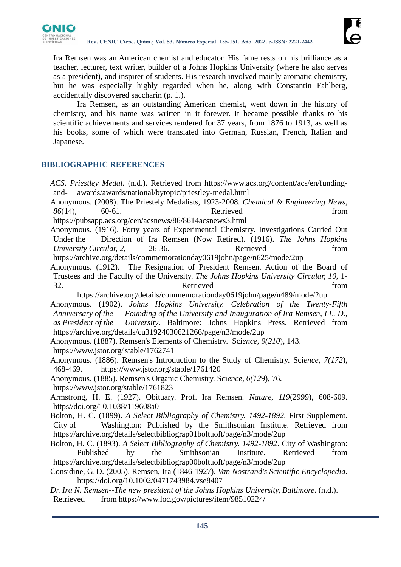

Ira Remsen was an American chemist and educator. His fame rests on his brilliance as a teacher, lecturer, text writer, builder of a Johns Hopkins University (where he also serves as a president), and inspirer of students. His research involved mainly aromatic chemistry, but he was especially highly regarded when he, along with Constantin Fahlberg, accidentally discovered saccharin (p. 1.).

Ira Remsen, as an outstanding American chemist, went down in the history of chemistry, and his name was written in it forewer. It became possible thanks to his scientific achievements and services rendered for 37 years, from 1876 to 1913, as well as his books, some of which were translated into German, Russian, French, Italian and Japanese.

# **BIBLIOGRAPHIC REFERENCES**

*ACS. Priestley Medal.* (n.d.). Retrieved from https://www.acs.org/content/acs/en/fundingand- awards/awards/national/bytopic/priestley-medal.html

Anonymous. (2008). The Priestely Medalists, 1923-2008. *Chemical & Engineering News*, *86*(14), 60-61. Retrieved from

https://pubsapp.acs.org/cen/acsnews/86/8614acsnews3.html

Anonymous. (1916). Forty years of Experimental Chemistry. Investigations Carried Out Under the Direction of Ira Remsen (Now Retired). (1916). *The Johns Hopkins University Circular, 2,* 26-36. Retrieved from

<https://archive.org/details/commemorationday0619john/page/n625/mode/2up>

Anonymous. (1912). The Resignation of President Remsen. Action of the Board of Trustees and the Faculty of the University. *The Johns Hopkins University Circular, 10*, 1- 32. Retrieved from

https://archive.org/details/commemorationday0619john/page/n489/mode/2up Anonymous. (1902). *Johns Hopkins University. Celebration of the Twenty-Fifth Anniversary of the Founding of the University and Inauguration of Ira Remsen, LL. D., as President of the University*. Baltimore: Johns Hopkins Press. Retrieved from https://archive.org/details/cu31924030621266/page/n3/mode/2up

Anonymous. (1887). Remsen's Elements of Chemistry. Sci*ence, 9(210*), 143. [https://www.jstor.org/s](https://www.jstor.org/)table/1762741

Anonymous. (1886). Remsen's Introduction to the Study of Chemistry. Sci*ence, 7(172*), 468-469. https://www.jstor.org/stable/1761420

Anonymous. (1885). Remsen's Organic Chemistry. Sci*ence, 6(12*9), 76.

https://www.jstor.org/stable/1761823

Armstrong, H. E. (1927). Obituary. Prof. Ira Remsen. *Nature, 119*(2999), 608-609. https//doi.org/10.1038/119608a0

Bolton, H. C. (1899). *A Select Bibliography of Chemistry. 1492-1892*. First Supplement. City of Washington: Published by the Smithsonian Institute. Retrieved from https://archive.org/details/selectbibliograp01boltuoft/page/n3/mode/2up

Bolton, H. C. (1893). *A Select Bibliography of Chemistry. 1492-1892*. City of Washington: Published by the Smithsonian Institute. Retrieved from https://archive.org/details/selectbibliograp00boltuoft/page/n3/mode/2up

Considine, G. D. (2005). Remsen, Ira (1846-1927). *Van Nostrand's Scientific Encyclopedia*. https://doi.org/10.1002/0471743984.vse8407

*Dr. Ira N. Remsen--The new president of the Johns Hopkins University, Baltimore*. (n.d.). Retrieved from https://www.loc.gov/pictures/item/98510224/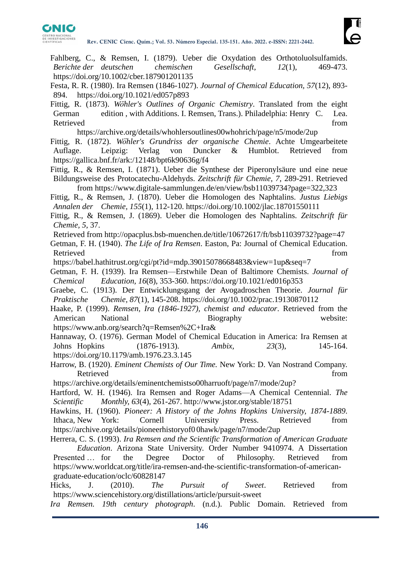

- Fahlberg, C., & Remsen, I. (1879). Ueber die Oxydation des Orthotoluolsulfamids. *Berichte der deutschen chemischen Gesellschaft, 12*(1), 469-473. https://doi.org/10.1002/cber.187901201135
- Festa, R. R. (1980). Ira Remsen (1846-1027). *Journal of Chemical Education, 57*(12), 893- 894. https://doi.org/10.1021/ed057p893
- Fittig, R. (1873). *Wöhler's Outlines of Organic Chemistry*. Translated from the eight German edition , with Additions. I. Remsen, Trans.). Philadelphia: Henry C. Lea. Retrieved from the state of the state of the state of the state of the state of the state of the state of the state of the state of the state of the state of the state of the state of the state of the state of the state of

https://archive.org/details/whohlersoutlines00whohrich/page/n5/mode/2up

- Fittig, R. (1872). *Wöhler's Grundriss der organische Chemie*. Achte Umgearbeitete Auflage. Leipzig: Verlag von Duncker & Humblot. Retrieved from https://gallica.bnf.fr/ark:/12148/bpt6k90636g/f4
- Fittig, R., & Remsen, I. (1871). Ueber die Synthese der Piperonylsäure und eine neue Bildungsweise des Protocatechu-Aldehyds. *Zeitschrift für Chemie, 7*, 289-291. Retrieved from https://www.digitale-sammlungen.de/en/view/bsb11039734?page=322,323
- Fittig, R., & Remsen, J. (1870). Ueber die Homologen des Naphtalins. *Justus Liebigs Annalen der Chemie, 155*(1), 112-120. https://doi.org/10.1002/jlac.18701550111
- Fittig, R., & Remsen, J. (1869). Ueber die Homologen des Naphtalins. *Zeitschrift für Chemie, 5*, 37.
- Retrieved from http://opacplus.bsb-muenchen.de/title/10672617/ft/bsb11039732?page=47
- Getman, F. H. (1940). *The Life of Ira Remsen*. Easton, Pa: Journal of Chemical Education. Retrieved from the state of the state of the state of the state of the state of the state of the state of the state of the state of the state of the state of the state of the state of the state of the state of the state of

https://babel.hathitrust.org/cgi/pt?id=mdp.39015078668483&view=1up&seq=7

Getman, F. H. (1939). Ira Remsen—Erstwhile Dean of Baltimore Chemists. *Journal of Chemical Education, 16*(8), 353-360. https://doi.org/10.1021/ed016p353

Graebe, C. (1913). Der Entwicklungsgang der Avogadroschen Theorie. *Journal für Praktische Chemie, 87*(1), 145-208. https://doi.org/10.1002/prac.19130870112

Haake, P. (1999). *Remsen, Ira (1846-1927), chemist and educator*. Retrieved from the American National Biography Website:

https://www.anb.org/search?q=Remsen%2C+Ira&

- Hannaway, O. (1976). German Model of Chemical Education in America: Ira Remsen at Johns Hopkins (1876-1913). *Ambix, 23*(3), 145-164. https://doi.org/10.1179/amb.1976.23.3.145
- Harrow, B. (1920). *Eminent Chemists of Our Time.* New York: D. Van Nostrand Company. Retrieved from the state of the state of the state of the state of the state of the state of the state of the state of the state of the state of the state of the state of the state of the state of the state of the state of
- https://archive.org/details/eminentchemistso00harruoft/page/n7/mode/2up?
- Hartford, W. H. (1946). Ira Remsen and Roger Adams—A Chemical Centennial. *The Scientific Monthly, 63*(4), 261-267. http://www.jstor.org/stable/18751

Hawkins, H. (1960). *Pioneer: A History of the Johns Hopkins University, 1874-1889*. Ithaca, New York: Cornell University Press. Retrieved from https://archive.org/details/pioneerhistoryof0 0hawk/page/n7/mode/2up

- Herrera, C. S. (1993). *Ira Remsen and the Scientific Transformation of American Graduate Education*. Arizona State University. Order Number 9410974. A Dissertation Presented … for the Degree Doctor of Philosophy. Retrieved from
- [https://www.worldcat.org/title/ira-remsen-and-the-scientific-transformation-of-american](https://www.worldcat.org/title/ira-remsen-and-the-scientific-transformation-of-american-graduate-education/oclc/60828147)[graduate-education/oclc/60828147](https://www.worldcat.org/title/ira-remsen-and-the-scientific-transformation-of-american-graduate-education/oclc/60828147)

Hicks, J. (2010). *The Pursuit of Sweet*. Retrieved from https://www.sciencehistory.org/distillations/article/pursuit-sweet

*Ira Remsen. 19th century photograph*. (n.d.). Public Domain. Retrieved from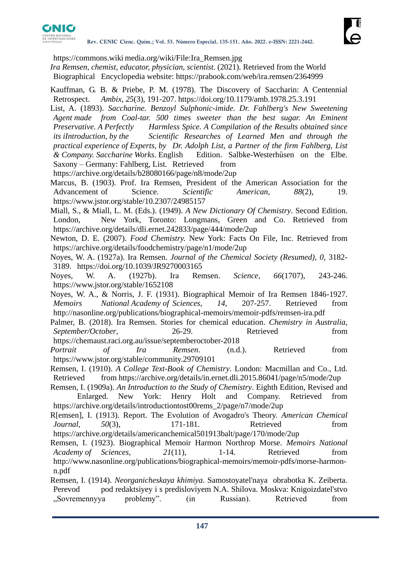

https://commons.wiki media.org/wiki/File:Ira\_Remsen.jpg

*Ira Remsen, chemist, educator, physician, scientist*. (2021). Retrieved from the World Biographical Encyclopedia website: https://prabook.com/web/ira.remsen/2364999

Kauffman, G. B. & Priebe, P. M. (1978). The Discovery of Saccharin: A Centennial Retrospect. *Ambix, 25*(3), 191-207. https://doi.org/10.1179/amb.1978.25.3.191

List, A. (1893). *Saccharine. Benzoyl Sulphonic-imide. Dr. Fahlberg's New Sweetening Agent made from Coal-tar. 500 times sweeter than the best sugar. An Eminent Preservative. A Perfectly Harmless Spice. A Compilation of the Results obtained since its iIntroduction, by the Scientific Researches of Learned Men and through the practical experience of Experts, by Dr. Adolph List, a Partner of the firm Fahlberg, List & Company. Saccharine Works*. English Edition. Salbke-Westerhüsen on the Elbe. Saxony – Germany: Fahlberg, List. Retrieved from

https://archive.org/details/b28080166/page/n8/mode/2up

Marcus, B. (1903). Prof. Ira Remsen, President of the American Association for the Advancement of Science. *Scientific American*, 88(2), 19. https://www.jstor.org/stable/10.2307/24985157

Miall, S., & Miall, L. M. (Eds.). (1949). *A New Dictionary Of Chemistry*. Second Edition. London, New York, Toronto: Longmans, Green and Co. Retrieved from https://archive.org/details/dli.ernet.242833/page/444/mode/2up

Newton, D. E. (2007). *Food Chemistry.* New York: Facts On File, Inc. Retrieved from https://archive.org/details/foodchemistry/page/n1/mode/2up

Noyes, W. A. (1927a). Ira Remsen. *Journal of the Chemical Society (Resumed), 0*, 3182- 3189. https://doi.org/10.1039/JR9270003165

Noyes, W. A. (1927b). Ira Remsen. *Science, 66*(1707), 243-246. https://www.jstor.org/stable/1652108

Noyes, W. A., & Norris, J. F. (1931). Biographical Memoir of Ira Remsen 1846-1927. *Memoirs National Academy of Sciences, 14*, 207-257. Retrieved from http://nasonline.org/publications/biographical-memoirs/memoir-pdfs/remsen-ira.pdf

Palmer, B. (2018). Ira Remsen. Stories for chemical education. *Chemistry in Australia, September/October*, 26-29. Retrieved from https://chemaust.raci.org.au/issue/septemberoctober-2018

*Portrait of Ira Remsen*. (n.d.). Retrieved from https://www.jstor.org/stable/community.29709101

Remsen, I. (1910). *A College Text-Book of Chemistry*. London: Macmillan and Co., Ltd. Retrieved from https://archive.org/details/in.ernet.dli.2015.86041/page/n5/mode/2up

Remsen, I. (1909a). *An Introduction to the Study of Chemistry*. Eighth Edition, Revised and

Enlarged. New York: Henry Holt and Company. Retrieved from https://archive.org/details/introductiontost00rems\_2/page/n7/mode/2up

R[emsen], I. (1913). Report. The Evolution of Avogadro's Theory. *American Chemical Journal*, 50(3), 171-181. Retrieved from https://archive.org/details/americanchemical501913balt/page/170/mode/2up

Remsen, I. (1923). Biographical Memoir Harmon Northrop Morse. *Memoirs National Academy of Sciences, 21*(11), 1-14. Retrieved from http://www.nasonline.org/publications/biographical-memoirs/memoir-pdfs/morse-harmonn.pdf

Remsen, I. (1914). *Neorganicheskaya khimiya*. Samostoyatel'naya obrabotka K. Zeiberta. Perevod pod redaktsiyey i s predisloviyem N.A. Shilova. Moskva: Knigoizdatel'stvo "Sovremennyya problemy". (in Russian). Retrieved from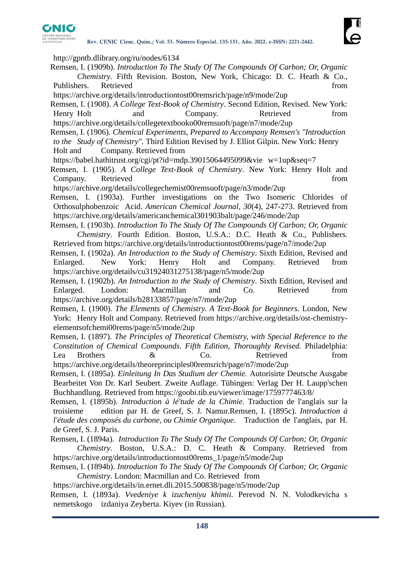

http://gpntb.dlibrary.org/ru/nodes/6134

- Remsen, I. (1909b). *Introduction To The Study Of The Compounds Of Carbon; Or, Organic Chemistry*. Fifth Revision. Boston, New York, Chicago: D. C. Heath & Co., Publishers. Retrieved from the state of the state of the state and the state of the state of the state of the state of the state of the state of the state of the state of the state of the state of the state of the state of
- https://archive.org/details/introductiontost00remsrich/page/n9/mode/2up
- Remsen, I. (1908). *A College Text-Book of Chemistry*. Second Edition, Revised. New York: Henry Holt and Company. Retrieved from
- https://archive.org/details/collegetextbooko00remsuoft/page/n7/mode/2up
- Remsen, I. (1906). *Chemical Experiments, Prepared to Accompany Remsen's "Introduction to the Study of Chemistry".* Third Edition Revised by J. Elliot Gilpin. New York: Henry Holt and Company. Retrieved from
- https://babel.hathitrust.org/cgi/pt?id=mdp.39015064495099&vie w=1up&seq=7
- Remsen, I. (1905). *A College Text-Book of Chemistry*. New York: Henry Holt and Company. Retrieved from the set of the set of the set of the set of the set of the set of the set of the set of the set of the set of the set of the set of the set of the set of the set of the set of the set of the set of
- https://archive.org/details/collegechemist00remsuoft/page/n3/mode/2up
- Remsen, I. (1903a). Further investigations on the Two Isomeric Chlorides of Orthosulphobenzoic Acid. *American Chemical Journal, 30*(4), 247-273. Retrieved from https://archive.org/details/americanchemical301903balt/page/246/mode/2up
- Remsen, I. (1903b). *Introduction To The Study Of The Compounds Of Carbon; Or, Organic Chemistry*. Fourth Edition. Boston, U.S.A.: D.C. Heath & Co., Publishers. Retrieved from https://archive.org/details/introductiontost00rems/page/n7/mode/2up
- Remsen, I. (1902a). *An Introduction to the Study of Chemistry*. Sixth Edition, Revised and Enlarged. New York: Henry Holt and Company. Retrieved from https://archive.org/details/cu31924031275138/page/n5/mode/2up
- Remsen, I. (1902b). *An Introduction to the Study of Chemistry*. Sixth Edition, Revised and Enlarged. London: Macmillan and Co. Retrieved from https://archive.org/details/b28133857/page/n7/mode/2up
- Remsen, I. (1900). *The Elements of Chemistry. A Text-Book for Beginners.* London, New York: Henry Holt and Company. Retrieved from https://archive.org/details/ost-chemistryelementsofchemi00rems/page/n5/mode/2up
- Remsen, I. (1897). *The Principles of Theoretical Chemistry, with Special Reference to the Constitution of Chemical Compounds*. *Fifth Edition, Thoroughly Revised.* Philadelphia: Lea Brothers  $\&$  Co. Retrieved from https://archive.org/details/theoreprinciples00remsrich/page/n7/mode/2up
- Remsen, I. (1895a). *Einleitung In Das Studium der Chemie.* Autorisirte Deutsche Ausgabe Bearbeitet Von Dr. Karl Seubert. Zweite Auflage. Tübingen: Verlag Der H. Laupp'schen Buchhandlung. Retrieved from https://goobi.tib.eu/viewer/image/1759777463/8/
- Remsen, I. (1895b). *Introduction à lé'tude de la Chimie*. Traduction de l'anglais sur la troisieme edition par H. de Greef, S. J. Namur.Remsen, I. (1895c). *Introduction à l'étude des composés du carbone, ou Chimie Organique*. Traduction de l'anglais, par H. de Greef, S. J. Paris.
- Remsen, I. (1894a). *Introduction To The Study Of The Compounds Of Carbon; Or, Organic Chemistry*. Boston, U.S.A.: D. C. Heath & Company. Retrieved from https://archive.org/details/introductiontost00rems\_1/page/n5/mode/2up
- Remsen, I. (1894b). *Introduction To The Study Of The Compounds Of Carbon; Or, Organic Chemistry*. London: Macmillan and Co. Retrieved from

https://archive.org/details/in.ernet.dli.2015.500838/page/n5/mode/2up

Remsen, I. (1893a). *Vvedeniye k izucheniyu khimii.* Perevod N. N. Volodkevicha s nemetskogo izdaniya Zeyberta. Kiyev (in Russian).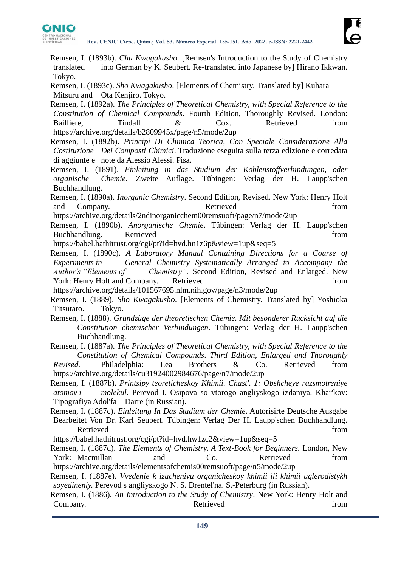

- Remsen, I. (1893b). *Chu Kwagakusho*. [Remsen's Introduction to the Study of Chemistry translated into German by K. Seubert. Re-translated into Japanese by] Hirano Ikkwan. Tokyo.
- Remsen, I. (1893c). *Sho Kwagakusho*. [Elements of Chemistry. Translated by] Kuhara Mitsuru and Ota Kenjiro. Tokyo.
- Remsen, I. (1892a). *The Principles of Theoretical Chemistry, with Special Reference to the Constitution of Chemical Compounds*. Fourth Edition, Thoroughly Revised. London: Bailliere, Tindall & Cox. Retrieved from https://archive.org/details/b2809945x/page/n5/mode/2up
- Remsen, I. (1892b). *Principi Di Chimica Teorica, Con Speciale Considerazione Alla Costituzione Dei Composti Chimici*. Traduzione eseguita sulla terza edizione e corredata di aggiunte e note da Alessio Alessi. Pisa.
- Remsen, I. (1891). *Einleitung in das Studium der Kohlenstoffverbindungen, oder organische Chemie.* Zweite Auflage. Tübingen: Verlag der H. Laupp'schen Buchhandlung.
- Remsen, I. (1890a). *Inorganic Chemistry*. Second Edition, Revised. New York: Henry Holt and Company. Retrieved from
- https://archive.org/details/2ndinorganicchem00remsuoft/page/n7/mode/2up
- Remsen, I. (1890b). *Anorganische Chemie*. Tübingen: Verlag der H. Laupp'schen Buchhandlung. Retrieved **in the set of the set of the set of the set of the set of the set of the set of the set of the set of the set of the set of the set of the set of the set of the set of the set of the set of the set**
- https://babel.hathitrust.org/cgi/pt?id=hvd.hn1z6p&view=1up&seq=5
- Remsen, I. (1890c). *A Laboratory Manual Containing Directions for a Course of Experiments in General Chemistry Systematically Arranged to Accompany the Author's "Elements of Chemistry"*. Second Edition, Revised and Enlarged. New York: Henry Holt and Company. Retrieved from from from the state of  $\mathbb{R}^n$

https://archive.org/details/101567695.nlm.nih.gov/page/n3/mode/2up

- Remsen, I. (1889). *Sho Kwagakusho*. [Elements of Chemistry. Translated by] Yoshioka Titsutaro. Tokyo.
- Remsen, I. (1888). *Grundzüge der theoretischen Chemie. Mit besonderer Rucksicht auf die Constitution chemischer Verbindungen*. Tübingen: Verlag der H. Laupp'schen Buchhandlung.
- Remsen, I. (1887a). *The Principles of Theoretical Chemistry, with Special Reference to the Constitution of Chemical Compounds*. *Third Edition, Enlarged and Thoroughly Revised.* Philadelphia: Lea Brothers & Co. Retrieved from https://archive.org/details/cu31924002984676/page/n7/mode/2up
- Remsen, I. (1887b). *Printsipy teoreticheskoy Khimii. Chast'. 1: Obshcheye razsmotreniye atomov i molekul*. Perevod I. Osipova so vtorogo angliyskogo izdaniya. Khar'kov: Tipografiya Adol'fa Darre (in Russian).
- Remsen, I. (1887c). *Einleitung In Das Studium der Chemie*. Autorisirte Deutsche Ausgabe Bearbeitet Von Dr. Karl Seubert. Tübingen: Verlag Der H. Laupp'schen Buchhandlung. Retrieved from the state of the state of the state of the state of the state of the state of the state of the state of the state of the state of the state of the state of the state of the state of the state of the state of
- https://babel.hathitrust.org/cgi/pt?id=hvd.hw1zc2&view=1up&seq=5
- Remsen, I. (1887d). *The Elements of Chemistry. A Text-Book for Beginners.* London, New York: Macmillan and Co. Retrieved from https://archive.org/details/elementsofchemis00remsuoft/page/n5/mode/2up

Remsen, I. (1887e). *Vvedenie k izucheniyu organicheskoy khimii ili khimii uglerodistykh soyedineniy.* Perevod s angliyskogo N. S. Drentel'na. S.-Peterburg (in Russian).

Remsen, I. (1886). *An Introduction to the Study of Chemistry*. New York: Henry Holt and Company. **Retrieved** from **from**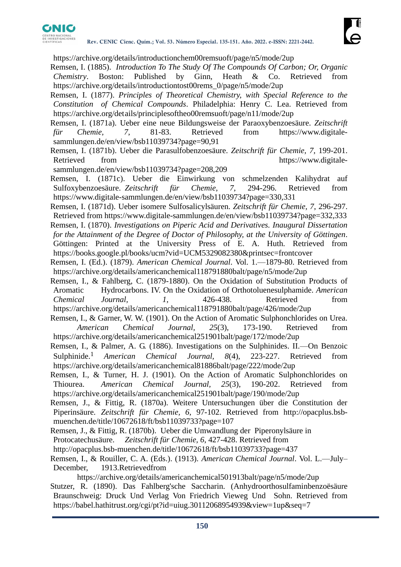

https://archive.org/details/introductionchem00remsuoft/page/n5/mode/2up

- Remsen, I. (1885). *Introduction To The Study Of The Compounds Of Carbon; Or, Organic Chemistry*. Boston: Published by Ginn, Heath & Co. Retrieved from https://archive.org/details/introductiontost00rems\_0/page/n5/mode/2up
- Remsen, I. (1877). *Principles of Theoretical Chemistry, with Special Reference to the Constitution of Chemical Compounds*. Philadelphia: Henry C. Lea. Retrieved from https://archive.org/details/principlesoftheo00remsuoft/page/n11/mode/2up
- Remsen, I. (1871a). Ueber eine neue Bildungsweise der Paraoxybenzoesäure. *Zeitschrift für Chemie, 7*, 81-83. Retrieved from https://www.digitalesammlungen.de/en/view/bsb11039734?page=90,91
- Remsen, I. (1871b). Ueber die Parasulfobenzoesäure. *Zeitschrift für Chemie, 7*, 199-201. Retrieved from https://www.digitale-
- sammlungen.de/en/view/bsb11039734?page=208,209
- Remsen, I. (1871c). Ueber die Einwirkung von schmelzenden Kalihydrat auf Sulfoxybenzoesäure. *Zeitschrift für Chemie, 7*, 294-296. Retrieved from https://www.digitale-sammlungen.de/en/view/bsb11039734?page=330,331
- Remsen, I. (1871d). Ueber isomere Sulfosalicylsäuren. *Zeitschrift für Chemie, 7*, 296-297. Retrieved from https://www.digitale-sammlungen.de/en/view/bsb11039734?page=332,333
- Remsen, I. (1870). *Investigations on Piperic Acid and Derivatives. Inaugural Dissertation for the Attainment of the Degree of Doctor of Philosophy, at the University of Göttingen*. Göttingen: Printed at the University Press of E. A. Huth. Retrieved from https://books.google.pl/books/ucm?vid=UCM5329082380&printsec=frontcover
- Remsen, I. (Ed.). (1879). *American Chemical Journal*. Vol. 1.—1879-80. Retrieved from https://archive.org/details/americanchemical118791880balt/page/n5/mode/2up
- Remsen, I., & Fahlberg, C. (1879-1880). On the Oxidation of Substitution Products of Aromatic Hydrocarbons. IV. On the Oxidation of Orthotoluenesulphamide. *American Chemical Journal, 1*, 426-438. Retrieved from https://archive.org/details/americanchemical118791880balt/page/426/mode/2up
- Remsen, I., & Garner, W. W. (1901). On the Action of Aromatic Sulphonchlorides on Urea. *American Chemical Journal, 25*(3), 173-190. Retrieved from https://archive.org/details/americanchemical251901balt/page/172/mode/2up
- Remsen, I., & Palmer, A. G. (1886). Investigations on the Sulphinides. II.—On Benzoic Sulphinide.<sup>1</sup> *American Chemical Journal, 8*(4), 223-227. Retrieved from https://archive.org/details/americanchemical81886balt/page/222/mode/2up
- Remsen, I., & Turner, H. J. (1901). On the Action of Aromatic Sulphonchlorides on Thiourea. *American Chemical Journal, 25*(3), 190-202. Retrieved from https://archive.org/details/americanchemical251901balt/page/190/mode/2up
- Remsen, J., & Fittig, R. (1870a). Weitere Untersuchungen über die Constitution der Piperinsäure. *Zeitschrift für Chemie, 6*, 97-102. Retrieved from http://opacplus.bsbmuenchen.de/title/10672618/ft/bsb11039733?page=107
- Remsen, J., & Fittig, R. (1870b). Ueber die Umwandlung der Piperonylsäure in
- Protocatechusäure. *Zeitschrift für Chemie, 6*, 427-428. Retrieved from
- http://opacplus.bsb-muenchen.de/title/10672618/ft/bsb11039733?page=437
- Remsen, I., & Rouiller, C. A. (Eds.). (1913). *American Chemical Journal*. Vol. L.—July– December, 1913.Retrievedfrom
- https://archive.org/details/americanchemical501913balt/page/n5/mode/2up Stutzer, R. (1890). Das Fahlberg'sche Saccharin. (Anhydroorthosulfaminbenzoësäure Braunschweig: Druck Und Verlag Von Friedrich Vieweg Und Sohn. Retrieved from https://babel.hathitrust.org/cgi/pt?id=uiug.30112068954939&view=1up&seq=7